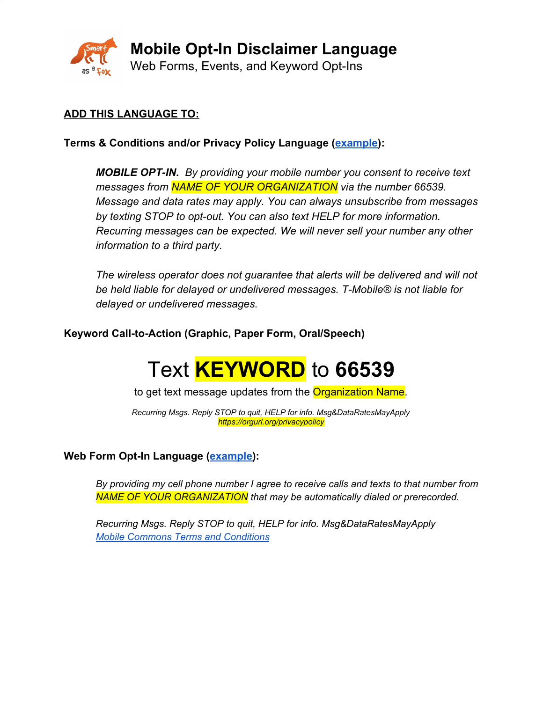

# **ADD THIS LANGUAGE TO:**

**Terms & Conditions and/or Privacy Policy Language ([example](https://www.smartasafox.org/privacy-policy/)):**

*MOBILE OPT-IN. By providing your mobile number you consent to receive text messages from NAME OF YOUR ORGANIZATION via the number 66539. Message and data rates may apply. You can always unsubscribe from messages by texting STOP to opt-out. You can also text HELP for more information. Recurring messages can be expected. We will never sell your number any other information to a third party.*

*The wireless operator does not guarantee that alerts will be delivered and will not be held liable for delayed or undelivered messages. T-Mobile® is not liable for delayed or undelivered messages.*

**Keyword Call-to-Action (Graphic, Paper Form, Oral/Speech)**

# Text **KEYWORD** to **66539**

to get text message updates from the Organization Name.

*Recurring Msgs. Reply STOP to quit, HELP for info. Msg&DataRatesMayApply https://orgurl.org/privacypolicy*

## **Web Form Opt-In Language ([example\)](https://www.weareplannedparenthoodaction.org/onlineactions/fu-T_XRJyke71fEUDNUPeg2?_ga=2.82509142.1577502557.1539632875-1898511452.1539632875):**

*By providing my cell phone number I agree to receive calls and texts to that number from NAME OF YOUR ORGANIZATION that may be automatically dialed or prerecorded.*

*Recurring Msgs. Reply STOP to quit, HELP for info. Msg&DataRatesMayApply Mobile Commons Terms and [Conditions](https://uplandsoftware.com/mobile-messaging/terms-and-conditions/)*